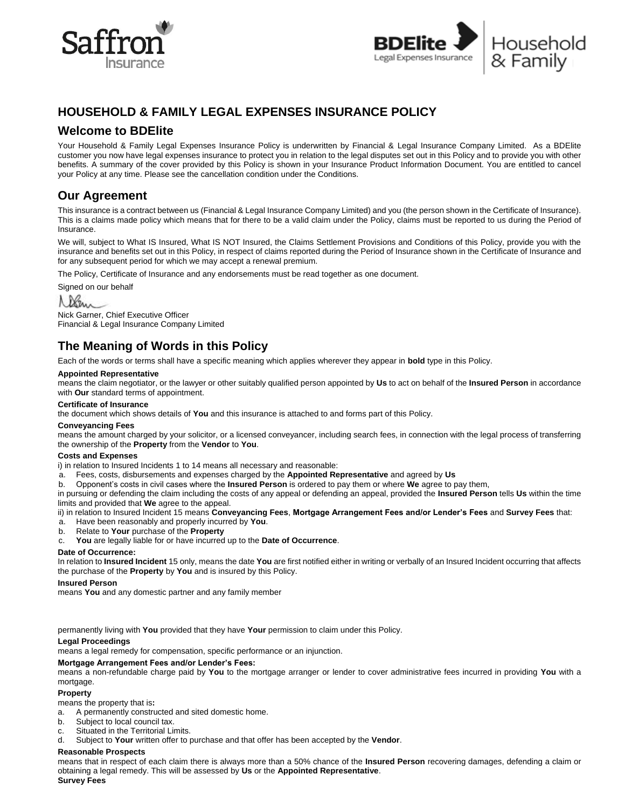



# **HOUSEHOLD & FAMILY LEGAL EXPENSES INSURANCE POLICY**

# **Welcome to BDElite**

Your Household & Family Legal Expenses Insurance Policy is underwritten by Financial & Legal Insurance Company Limited. As a BDElite customer you now have legal expenses insurance to protect you in relation to the legal disputes set out in this Policy and to provide you with other benefits. A summary of the cover provided by this Policy is shown in your Insurance Product Information Document. You are entitled to cancel your Policy at any time. Please see the cancellation condition under the Conditions.

# **Our Agreement**

This insurance is a contract between us (Financial & Legal Insurance Company Limited) and you (the person shown in the Certificate of Insurance). This is a claims made policy which means that for there to be a valid claim under the Policy, claims must be reported to us during the Period of Insurance.

We will, subject to What IS Insured, What IS NOT Insured, the Claims Settlement Provisions and Conditions of this Policy, provide you with the insurance and benefits set out in this Policy, in respect of claims reported during the Period of Insurance shown in the Certificate of Insurance and for any subsequent period for which we may accept a renewal premium.

The Policy, Certificate of Insurance and any endorsements must be read together as one document.

Signed on our behalf

# Nem

Nick Garner, Chief Executive Officer Financial & Legal Insurance Company Limited

# **The Meaning of Words in this Policy**

Each of the words or terms shall have a specific meaning which applies wherever they appear in **bold** type in this Policy.

#### **Appointed Representative**

means the claim negotiator, or the lawyer or other suitably qualified person appointed by **Us** to act on behalf of the **Insured Person** in accordance with **Our** standard terms of appointment.

#### **Certificate of Insurance**

the document which shows details of **You** and this insurance is attached to and forms part of this Policy.

#### **Conveyancing Fees**

means the amount charged by your solicitor, or a licensed conveyancer, including search fees, in connection with the legal process of transferring the ownership of the **Property** from the **Vendor** to **You**.

#### **Costs and Expenses**

i) in relation to Insured Incidents 1 to 14 means all necessary and reasonable:

a. Fees, costs, disbursements and expenses charged by the **Appointed Representative** and agreed by **Us**

b. Opponent's costs in civil cases where the **Insured Person** is ordered to pay them or where **We** agree to pay them,

in pursuing or defending the claim including the costs of any appeal or defending an appeal, provided the **Insured Person** tells **Us** within the time limits and provided that **We** agree to the appeal.

ii) in relation to Insured Incident 15 means **Conveyancing Fees**, **Mortgage Arrangement Fees and/or Lender's Fees** and **Survey Fees** that:

- a. Have been reasonably and properly incurred by **You**.
- b. Relate to **Your** purchase of the **Property**

c. **You** are legally liable for or have incurred up to the **Date of Occurrence**.

#### **Date of Occurrence:**

In relation to **Insured Incident** 15 only, means the date **You** are first notified either in writing or verbally of an Insured Incident occurring that affects the purchase of the **Property** by **You** and is insured by this Policy.

#### **Insured Person**

means **You** and any domestic partner and any family member

permanently living with **You** provided that they have **Your** permission to claim under this Policy.

#### **Legal Proceedings**

means a legal remedy for compensation, specific performance or an injunction.

#### **Mortgage Arrangement Fees and/or Lender's Fees:**

means a non-refundable charge paid by **You** to the mortgage arranger or lender to cover administrative fees incurred in providing **You** with a mortgage.

#### **Property**

means the property that is**:** 

- a. A permanently constructed and sited domestic home.
- b. Subject to local council tax.
- c. Situated in the Territorial Limits.
- d. Subject to **Your** written offer to purchase and that offer has been accepted by the **Vendor**.

#### **Reasonable Prospects**

means that in respect of each claim there is always more than a 50% chance of the **Insured Person** recovering damages, defending a claim or obtaining a legal remedy. This will be assessed by **Us** or the **Appointed Representative**. **Survey Fees**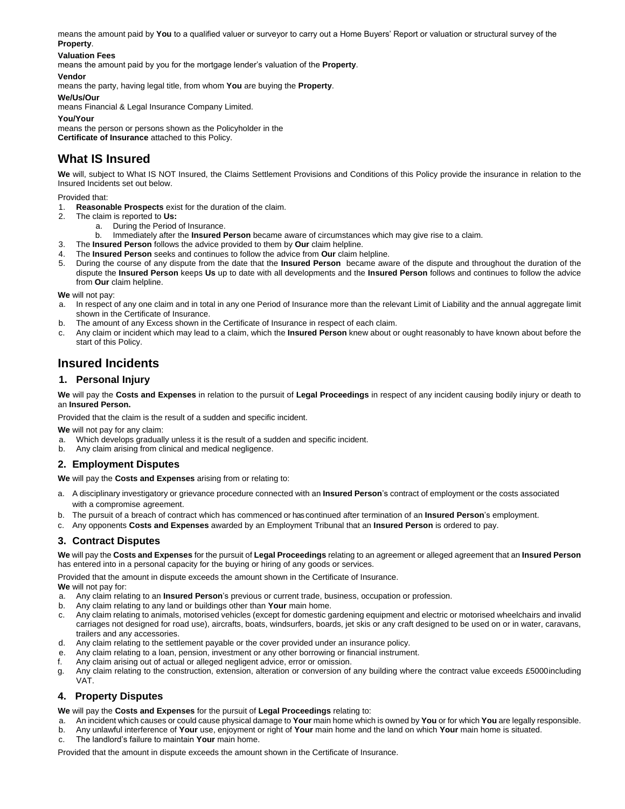means the amount paid by **You** to a qualified valuer or surveyor to carry out a Home Buyers' Report or valuation or structural survey of the **Property**.

### **Valuation Fees**

means the amount paid by you for the mortgage lender's valuation of the **Property**.

#### **Vendor**

means the party, having legal title, from whom **You** are buying the **Property**.

**We/Us/Our**

means Financial & Legal Insurance Company Limited.

**You/Your**

means the person or persons shown as the Policyholder in the

**Certificate of Insurance** attached to this Policy.

# **What IS Insured**

**We** will, subject to What IS NOT Insured, the Claims Settlement Provisions and Conditions of this Policy provide the insurance in relation to the Insured Incidents set out below.

Provided that:

- 1. **Reasonable Prospects** exist for the duration of the claim.
- 2. The claim is reported to **Us:**
	- a. During the Period of Insurance.
	- b. Immediately after the **Insured Person** became aware of circumstances which may give rise to a claim.
- 3. The **Insured Person** follows the advice provided to them by **Our** claim helpline.
- 4. The **Insured Person** seeks and continues to follow the advice from **Our** claim helpline.
- 5. During the course of any dispute from the date that the **Insured Person** became aware of the dispute and throughout the duration of the dispute the **Insured Person** keeps **Us** up to date with all developments and the **Insured Person** follows and continues to follow the advice from **Our** claim helpline.

**We** will not pay:

- a. In respect of any one claim and in total in any one Period of Insurance more than the relevant Limit of Liability and the annual aggregate limit shown in the Certificate of Insurance.
- b. The amount of any Excess shown in the Certificate of Insurance in respect of each claim.
- c. Any claim or incident which may lead to a claim, which the **Insured Person** knew about or ought reasonably to have known about before the start of this Policy.

# **Insured Incidents**

# **1. Personal Injury**

**We** will pay the **Costs and Expenses** in relation to the pursuit of **Legal Proceedings** in respect of any incident causing bodily injury or death to an **Insured Person.** 

Provided that the claim is the result of a sudden and specific incident.

**We** will not pay for any claim:

- a. Which develops gradually unless it is the result of a sudden and specific incident.
- b. Any claim arising from clinical and medical negligence.

# **2. Employment Disputes**

**We** will pay the **Costs and Expenses** arising from or relating to:

- a. A disciplinary investigatory or grievance procedure connected with an **Insured Person**'s contract of employment or the costs associated with a compromise agreement.
- b. The pursuit of a breach of contract which has commenced or has continued after termination of an **Insured Person**'s employment.
- c. Any opponents **Costs and Expenses** awarded by an Employment Tribunal that an **Insured Person** is ordered to pay.

# **3. Contract Disputes**

**We** will pay the **Costs and Expenses** for the pursuit of **Legal Proceedings** relating to an agreement or alleged agreement that an **Insured Person**  has entered into in a personal capacity for the buying or hiring of any goods or services.

Provided that the amount in dispute exceeds the amount shown in the Certificate of Insurance.

**We** will not pay for:

- a. Any claim relating to an **Insured Person**'s previous or current trade, business, occupation or profession.
- b. Any claim relating to any land or buildings other than **Your** main home.
- c. Any claim relating to animals, motorised vehicles (except for domestic gardening equipment and electric or motorised wheelchairs and invalid carriages not designed for road use), aircrafts, boats, windsurfers, boards, jet skis or any craft designed to be used on or in water, caravans, trailers and any accessories.
- d. Any claim relating to the settlement payable or the cover provided under an insurance policy.
- e. Any claim relating to a loan, pension, investment or any other borrowing or financial instrument.
- f. Any claim arising out of actual or alleged negligent advice, error or omission.
- g. Any claim relating to the construction, extension, alteration or conversion of any building where the contract value exceeds £5000including VAT.

# **4. Property Disputes**

**We** will pay the **Costs and Expenses** for the pursuit of **Legal Proceedings** relating to:

- a. An incident which causes or could cause physical damage to **Your** main home which is owned by **You** or for which **You** are legally responsible.
- b. Any unlawful interference of **Your** use, enjoyment or right of **Your** main home and the land on which **Your** main home is situated.
- c. The landlord's failure to maintain **Your** main home.

Provided that the amount in dispute exceeds the amount shown in the Certificate of Insurance.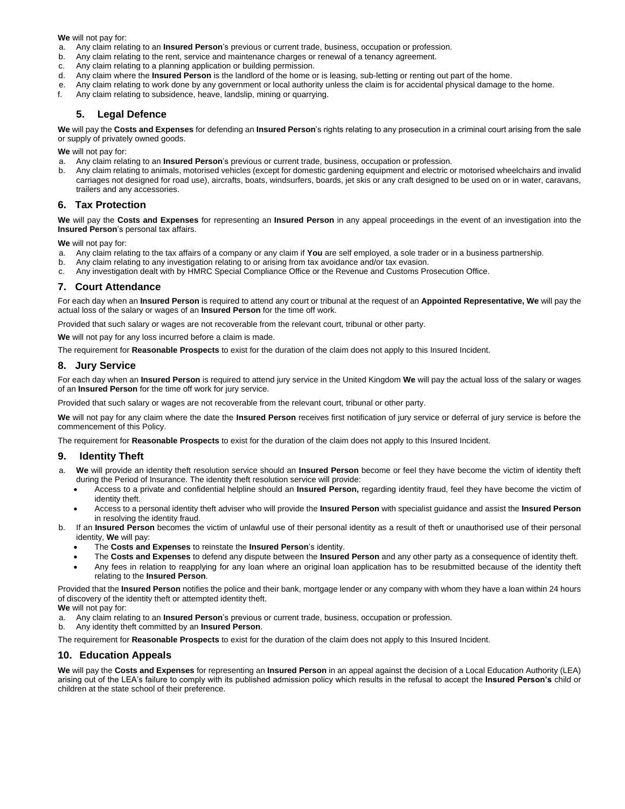**We** will not pay for:

- a. Any claim relating to an **Insured Person**'s previous or current trade, business, occupation or profession.
- b. Any claim relating to the rent, service and maintenance charges or renewal of a tenancy agreement.
- c. Any claim relating to a planning application or building permission.
- d. Any claim where the **Insured Person** is the landlord of the home or is leasing, sub-letting or renting out part of the home.
- e. Any claim relating to work done by any government or local authority unless the claim is for accidental physical damage to the home.
- f. Any claim relating to subsidence, heave, landslip, mining or quarrying.

# **5. Legal Defence**

**We** will pay the **Costs and Expenses** for defending an **Insured Person**'s rights relating to any prosecution in a criminal court arising from the sale or supply of privately owned goods.

**We** will not pay for:

- a. Any claim relating to an **Insured Person**'s previous or current trade, business, occupation or profession.
- b. Any claim relating to animals, motorised vehicles (except for domestic gardening equipment and electric or motorised wheelchairs and invalid carriages not designed for road use), aircrafts, boats, windsurfers, boards, jet skis or any craft designed to be used on or in water, caravans, trailers and any accessories.

### **6. Tax Protection**

**We** will pay the **Costs and Expenses** for representing an **Insured Person** in any appeal proceedings in the event of an investigation into the **Insured Person**'s personal tax affairs.

**We** will not pay for:

- a. Any claim relating to the tax affairs of a company or any claim if **You** are self employed, a sole trader or in a business partnership.
- b. Any claim relating to any investigation relating to or arising from tax avoidance and/or tax evasion.
- c. Any investigation dealt with by HMRC Special Compliance Office or the Revenue and Customs Prosecution Office.

# **7. Court Attendance**

For each day when an **Insured Person** is required to attend any court or tribunal at the request of an **Appointed Representative, We** will pay the actual loss of the salary or wages of an **Insured Person** for the time off work.

Provided that such salary or wages are not recoverable from the relevant court, tribunal or other party.

**We** will not pay for any loss incurred before a claim is made.

The requirement for **Reasonable Prospects** to exist for the duration of the claim does not apply to this Insured Incident.

### **8. Jury Service**

For each day when an **Insured Person** is required to attend jury service in the United Kingdom **We** will pay the actual loss of the salary or wages of an **Insured Person** for the time off work for jury service.

Provided that such salary or wages are not recoverable from the relevant court, tribunal or other party.

**We** will not pay for any claim where the date the **Insured Person** receives first notification of jury service or deferral of jury service is before the commencement of this Policy.

The requirement for **Reasonable Prospects** to exist for the duration of the claim does not apply to this Insured Incident.

### **9. Identity Theft**

- a. **We** will provide an identity theft resolution service should an **Insured Person** become or feel they have become the victim of identity theft during the Period of Insurance. The identity theft resolution service will provide:
	- Access to a private and confidential helpline should an **Insured Person,** regarding identity fraud, feel they have become the victim of identity theft.
	- Access to a personal identity theft adviser who will provide the **Insured Person** with specialist guidance and assist the **Insured Person**  in resolving the identity fraud.
- b. If an **Insured Person** becomes the victim of unlawful use of their personal identity as a result of theft or unauthorised use of their personal identity, **We** will pay:
	- The **Costs and Expenses** to reinstate the **Insured Person**'s identity.
	- The **Costs and Expenses** to defend any dispute between the **Insured Person** and any other party as a consequence of identity theft.
	- Any fees in relation to reapplying for any loan where an original loan application has to be resubmitted because of the identity theft relating to the **Insured Person**.

Provided that the **Insured Person** notifies the police and their bank, mortgage lender or any company with whom they have a loan within 24 hours of discovery of the identity theft or attempted identity theft.

**We** will not pay for:

- a. Any claim relating to an **Insured Person**'s previous or current trade, business, occupation or profession.
- b. Any identity theft committed by an **Insured Person**.
- The requirement for **Reasonable Prospects** to exist for the duration of the claim does not apply to this Insured Incident.

#### **10. Education Appeals**

**We** will pay the **Costs and Expenses** for representing an **Insured Person** in an appeal against the decision of a Local Education Authority (LEA) arising out of the LEA's failure to comply with its published admission policy which results in the refusal to accept the **Insured Person's** child or children at the state school of their preference.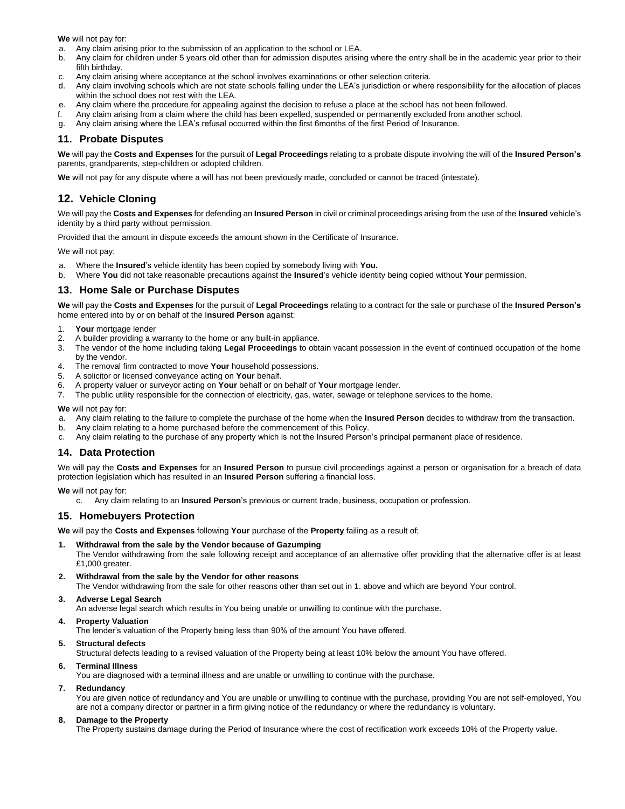**We** will not pay for:

- a. Any claim arising prior to the submission of an application to the school or LEA.
- b. Any claim for children under 5 years old other than for admission disputes arising where the entry shall be in the academic year prior to their fifth birthday.
- c. Any claim arising where acceptance at the school involves examinations or other selection criteria.
- d. Any claim involving schools which are not state schools falling under the LEA's jurisdiction or where responsibility for the allocation of places within the school does not rest with the LEA.
- e. Any claim where the procedure for appealing against the decision to refuse a place at the school has not been followed.
- f. Any claim arising from a claim where the child has been expelled, suspended or permanently excluded from another school.
- g. Any claim arising where the LEA's refusal occurred within the first 6months of the first Period of Insurance.

### **11. Probate Disputes**

**We** will pay the **Costs and Expenses** for the pursuit of **Legal Proceedings** relating to a probate dispute involving the will of the **Insured Person's** parents, grandparents, step-children or adopted children.

**We** will not pay for any dispute where a will has not been previously made, concluded or cannot be traced (intestate).

# **12. Vehicle Cloning**

We will pay the **Costs and Expenses** for defending an **Insured Person** in civil or criminal proceedings arising from the use of the **Insured** vehicle's identity by a third party without permission.

Provided that the amount in dispute exceeds the amount shown in the Certificate of Insurance.

We will not pay:

- a. Where the **Insured**'s vehicle identity has been copied by somebody living with **You.**
- b. Where **You** did not take reasonable precautions against the **Insured**'s vehicle identity being copied without **Your** permission.

### **13. Home Sale or Purchase Disputes**

**We** will pay the **Costs and Expenses** for the pursuit of **Legal Proceedings** relating to a contract for the sale or purchase of the **Insured Person's** home entered into by or on behalf of the I**nsured Person** against:

- 1. **Your** mortgage lender
- 2. A builder providing a warranty to the home or any built-in appliance.
- 3. The vendor of the home including taking **Legal Proceedings** to obtain vacant possession in the event of continued occupation of the home by the vendor.
- 4. The removal firm contracted to move **Your** household possessions.
- 5. A solicitor or licensed conveyance acting on **Your** behalf.
- 6. A property valuer or surveyor acting on **Your** behalf or on behalf of **Your** mortgage lender.
- 7. The public utility responsible for the connection of electricity, gas, water, sewage or telephone services to the home.

**We** will not pay for:

- a. Any claim relating to the failure to complete the purchase of the home when the **Insured Person** decides to withdraw from the transaction.
- b. Any claim relating to a home purchased before the commencement of this Policy.
- c. Any claim relating to the purchase of any property which is not the Insured Person's principal permanent place of residence.

#### **14. Data Protection**

We will pay the **Costs and Expenses** for an **Insured Person** to pursue civil proceedings against a person or organisation for a breach of data protection legislation which has resulted in an **Insured Person** suffering a financial loss.

**We** will not pay for:

c. Any claim relating to an **Insured Person**'s previous or current trade, business, occupation or profession.

### **15. Homebuyers Protection**

**We** will pay the **Costs and Expenses** following **Your** purchase of the **Property** failing as a result of;

#### **1. Withdrawal from the sale by the Vendor because of Gazumping**

The Vendor withdrawing from the sale following receipt and acceptance of an alternative offer providing that the alternative offer is at least £1,000 greater.

**2. Withdrawal from the sale by the Vendor for other reasons**

The Vendor withdrawing from the sale for other reasons other than set out in 1. above and which are beyond Your control.

#### **3. Adverse Legal Search**

An adverse legal search which results in You being unable or unwilling to continue with the purchase.

#### **4. Property Valuation**

The lender's valuation of the Property being less than 90% of the amount You have offered.

#### **5. Structural defects**

Structural defects leading to a revised valuation of the Property being at least 10% below the amount You have offered.

#### **6. Terminal Illness**

You are diagnosed with a terminal illness and are unable or unwilling to continue with the purchase.

#### **7. Redundancy**

You are given notice of redundancy and You are unable or unwilling to continue with the purchase, providing You are not self-employed, You are not a company director or partner in a firm giving notice of the redundancy or where the redundancy is voluntary.

#### **8. Damage to the Property**

The Property sustains damage during the Period of Insurance where the cost of rectification work exceeds 10% of the Property value.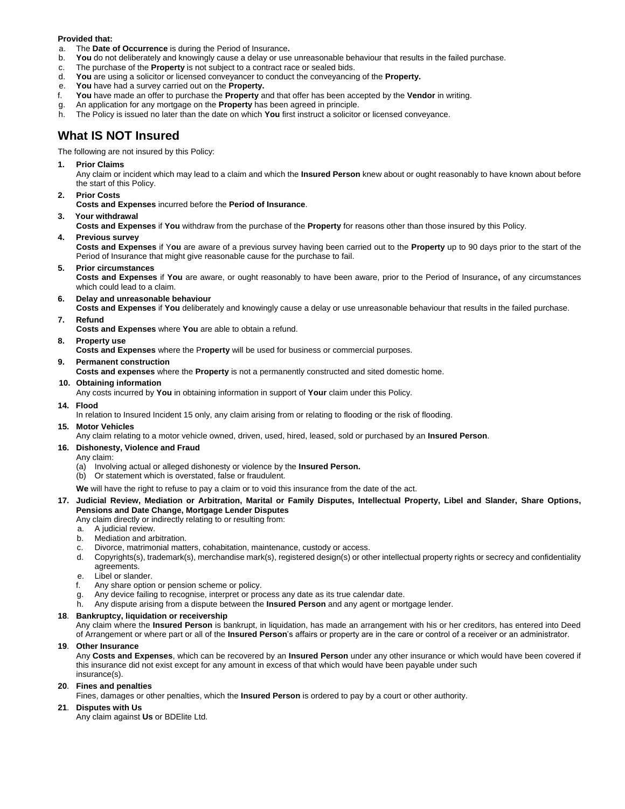#### **Provided that:**

- a. The **Date of Occurrence** is during the Period of Insurance**.**
- b. **You** do not deliberately and knowingly cause a delay or use unreasonable behaviour that results in the failed purchase.
- c. The purchase of the **Property** is not subject to a contract race or sealed bids.
- d. **You** are using a solicitor or licensed conveyancer to conduct the conveyancing of the **Property.**
- e. **You** have had a survey carried out on the **Property.**
- f. **You** have made an offer to purchase the **Property** and that offer has been accepted by the **Vendor** in writing.
- g. An application for any mortgage on the **Property** has been agreed in principle.
- h. The Policy is issued no later than the date on which **You** first instruct a solicitor or licensed conveyance.

# **What IS NOT Insured**

The following are not insured by this Policy:

#### **1. Prior Claims**

Any claim or incident which may lead to a claim and which the **Insured Person** knew about or ought reasonably to have known about before the start of this Policy.

#### **2. Prior Costs**

**Costs and Expenses** incurred before the **Period of Insurance**.

#### **3. Your withdrawal**

**Costs and Expenses** if **You** withdraw from the purchase of the **Property** for reasons other than those insured by this Policy.

**4. Previous survey**

**Costs and Expenses** if Y**ou** are aware of a previous survey having been carried out to the **Property** up to 90 days prior to the start of the Period of Insurance that might give reasonable cause for the purchase to fail.

**5. Prior circumstances**

**Costs and Expenses** if **You** are aware, or ought reasonably to have been aware, prior to the Period of Insurance**,** of any circumstances which could lead to a claim.

#### **6. Delay and unreasonable behaviour**

**Costs and Expenses** if **You** deliberately and knowingly cause a delay or use unreasonable behaviour that results in the failed purchase.

**7. Refund**

**Costs and Expenses** where **You** are able to obtain a refund.

- **8. Property use**
- **Costs and Expenses** where the P**roperty** will be used for business or commercial purposes.

#### **9. Permanent construction**

**Costs and expenses** where the **Property** is not a permanently constructed and sited domestic home.

#### **10. Obtaining information**

Any costs incurred by **You** in obtaining information in support of **Your** claim under this Policy.

#### **14. Flood**

In relation to Insured Incident 15 only, any claim arising from or relating to flooding or the risk of flooding.

#### **15. Motor Vehicles**

Any claim relating to a motor vehicle owned, driven, used, hired, leased, sold or purchased by an **Insured Person**.

#### **16. Dishonesty, Violence and Fraud**

- Any claim:
- (a) Involving actual or alleged dishonesty or violence by the **Insured Person.**
- (b) Or statement which is overstated, false or fraudulent.
- **We** will have the right to refuse to pay a claim or to void this insurance from the date of the act.

#### **17. Judicial Review, Mediation or Arbitration, Marital or Family Disputes, Intellectual Property, Libel and Slander, Share Options, Pensions and Date Change, Mortgage Lender Disputes**

Any claim directly or indirectly relating to or resulting from:

- a. A judicial review.
- b. Mediation and arbitration.
- c. Divorce, matrimonial matters, cohabitation, maintenance, custody or access.
- d. Copyrights(s), trademark(s), merchandise mark(s), registered design(s) or other intellectual property rights or secrecy and confidentiality agreements.
- e. Libel or slander.
- f. Any share option or pension scheme or policy.
- g. Any device failing to recognise, interpret or process any date as its true calendar date.
- h. Any dispute arising from a dispute between the **Insured Person** and any agent or mortgage lender.

### **18**. **Bankruptcy, liquidation or receivership**

 Any claim where the **Insured Person** is bankrupt, in liquidation, has made an arrangement with his or her creditors, has entered into Deed of Arrangement or where part or all of the **Insured Person**'s affairs or property are in the care or control of a receiver or an administrator.

#### **19**. **Other Insurance**

Any **Costs and Expenses**, which can be recovered by an **Insured Person** under any other insurance or which would have been covered if this insurance did not exist except for any amount in excess of that which would have been payable under such insurance(s).

### **20**. **Fines and penalties**

Fines, damages or other penalties, which the **Insured Person** is ordered to pay by a court or other authority.

### **21**. **Disputes with Us**

Any claim against **Us** or BDElite Ltd.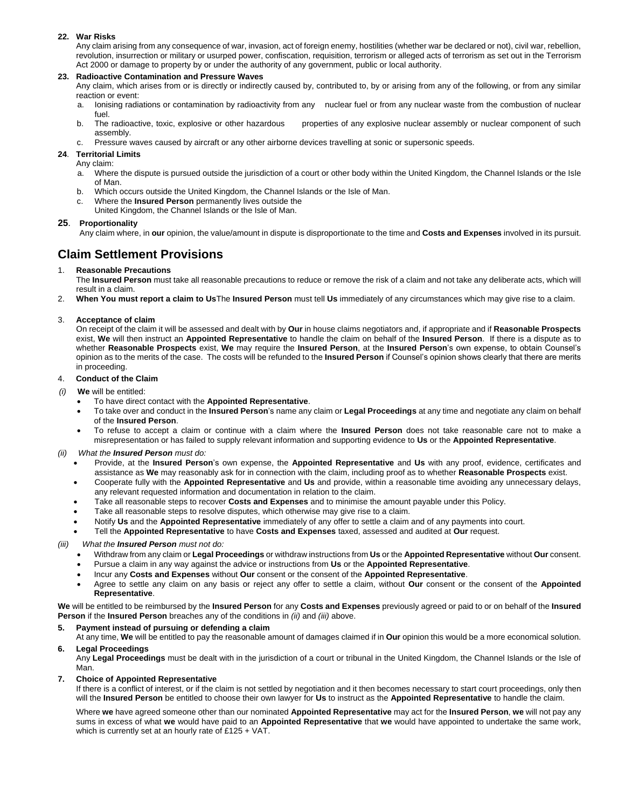### **22. War Risks**

Any claim arising from any consequence of war, invasion, act of foreign enemy, hostilities (whether war be declared or not), civil war, rebellion, revolution, insurrection or military or usurped power, confiscation, requisition, terrorism or alleged acts of terrorism as set out in the Terrorism Act 2000 or damage to property by or under the authority of any government, public or local authority.

#### **23. Radioactive Contamination and Pressure Waves**

Any claim, which arises from or is directly or indirectly caused by, contributed to, by or arising from any of the following, or from any similar reaction or event:

- a. Ionising radiations or contamination by radioactivity from any nuclear fuel or from any nuclear waste from the combustion of nuclear fuel.
- b. The radioactive, toxic, explosive or other hazardous properties of any explosive nuclear assembly or nuclear component of such assembly.
- c. Pressure waves caused by aircraft or any other airborne devices travelling at sonic or supersonic speeds.

#### **24**. **Territorial Limits**

- Any claim:
- a. Where the dispute is pursued outside the jurisdiction of a court or other body within the United Kingdom, the Channel Islands or the Isle of Man.
- b. Which occurs outside the United Kingdom, the Channel Islands or the Isle of Man.
- c. Where the **Insured Person** permanently lives outside the United Kingdom, the Channel Islands or the Isle of Man.

#### **25**. **Proportionality**

Any claim where, in **our** opinion, the value/amount in dispute is disproportionate to the time and **Costs and Expenses** involved in its pursuit.

# **Claim Settlement Provisions**

#### 1. **Reasonable Precautions**

The **Insured Person** must take all reasonable precautions to reduce or remove the risk of a claim and not take any deliberate acts, which will result in a claim.

2. **When You must report a claim to Us**The **Insured Person** must tell **Us** immediately of any circumstances which may give rise to a claim.

#### 3. **Acceptance of claim**

On receipt of the claim it will be assessed and dealt with by **Our** in house claims negotiators and, if appropriate and if **Reasonable Prospects** exist, **We** will then instruct an **Appointed Representative** to handle the claim on behalf of the **Insured Person**. If there is a dispute as to whether **Reasonable Prospects** exist, **We** may require the **Insured Person**, at the **Insured Person**'s own expense, to obtain Counsel's opinion as to the merits of the case. The costs will be refunded to the **Insured Person** if Counsel's opinion shows clearly that there are merits in proceeding.

#### 4. **Conduct of the Claim**

- *(i)* **We** will be entitled:
	- To have direct contact with the **Appointed Representative**.
		- To take over and conduct in the **Insured Person**'s name any claim or **Legal Proceedings** at any time and negotiate any claim on behalf of the **Insured Person**.
		- To refuse to accept a claim or continue with a claim where the **Insured Person** does not take reasonable care not to make a misrepresentation or has failed to supply relevant information and supporting evidence to **Us** or the **Appointed Representative**.
- *(ii) What the Insured Person must do:* 
	- Provide, at the **Insured Person**'s own expense, the **Appointed Representative** and **Us** with any proof, evidence, certificates and assistance as **We** may reasonably ask for in connection with the claim, including proof as to whether **Reasonable Prospects** exist.
	- Cooperate fully with the **Appointed Representative** and **Us** and provide, within a reasonable time avoiding any unnecessary delays, any relevant requested information and documentation in relation to the claim.
	- Take all reasonable steps to recover **Costs and Expenses** and to minimise the amount payable under this Policy.
	- Take all reasonable steps to resolve disputes, which otherwise may give rise to a claim.
	- Notify **Us** and the **Appointed Representative** immediately of any offer to settle a claim and of any payments into court.
	- Tell the **Appointed Representative** to have **Costs and Expenses** taxed, assessed and audited at **Our** request.
- *(iii) What the Insured Person must not do:*
	- Withdraw from any claim or **Legal Proceedings** or withdraw instructions from **Us** or the **Appointed Representative** without **Our** consent.
	- Pursue a claim in any way against the advice or instructions from **Us** or the **Appointed Representative**.
	- Incur any **Costs and Expenses** without **Our** consent or the consent of the **Appointed Representative**.
	- Agree to settle any claim on any basis or reject any offer to settle a claim, without **Our** consent or the consent of the **Appointed Representative**.

**We** will be entitled to be reimbursed by the **Insured Person** for any **Costs and Expenses** previously agreed or paid to or on behalf of the **Insured Person** if the **Insured Person** breaches any of the conditions in *(ii)* and *(iii)* above.

#### **5. Payment instead of pursuing or defending a claim**

At any time, **We** will be entitled to pay the reasonable amount of damages claimed if in **Our** opinion this would be a more economical solution. **6. Legal Proceedings**

Any **Legal Proceedings** must be dealt with in the jurisdiction of a court or tribunal in the United Kingdom, the Channel Islands or the Isle of Man.

#### **7. Choice of Appointed Representative**

If there is a conflict of interest, or if the claim is not settled by negotiation and it then becomes necessary to start court proceedings, only then will the **Insured Person** be entitled to choose their own lawyer for **Us** to instruct as the **Appointed Representative** to handle the claim.

Where **we** have agreed someone other than our nominated **Appointed Representative** may act for the **Insured Person**, **we** will not pay any sums in excess of what **we** would have paid to an **Appointed Representative** that **we** would have appointed to undertake the same work, which is currently set at an hourly rate of £125 + VAT.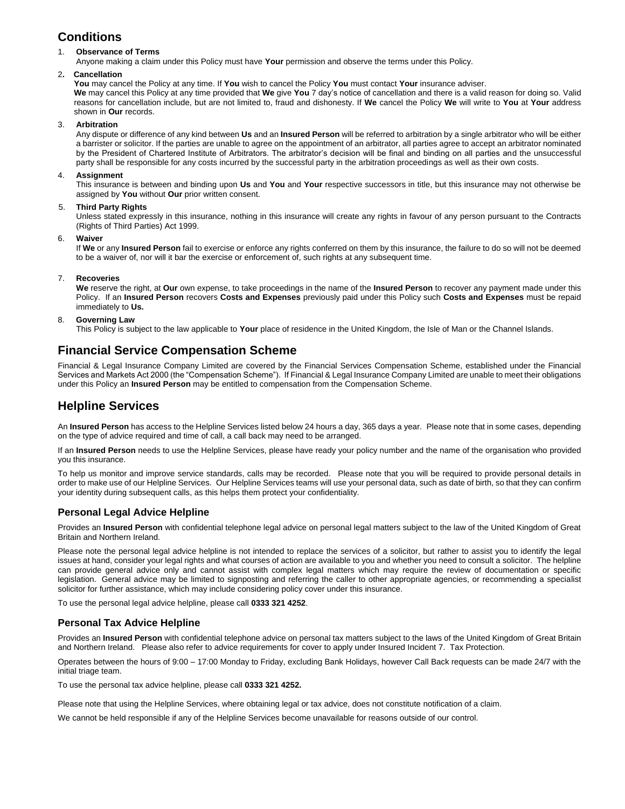# **Conditions**

### 1. **Observance of Terms**

Anyone making a claim under this Policy must have **Your** permission and observe the terms under this Policy.

#### 2**. Cancellation**

**You** may cancel the Policy at any time. If **You** wish to cancel the Policy **You** must contact **Your** insurance adviser. **We** may cancel this Policy at any time provided that **We** give **You** 7 day's notice of cancellation and there is a valid reason for doing so. Valid reasons for cancellation include, but are not limited to, fraud and dishonesty. If **We** cancel the Policy **We** will write to **You** at **Your** address shown in **Our** records.

#### 3. **Arbitration**

Any dispute or difference of any kind between **Us** and an **Insured Person** will be referred to arbitration by a single arbitrator who will be either a barrister or solicitor. If the parties are unable to agree on the appointment of an arbitrator, all parties agree to accept an arbitrator nominated by the President of Chartered Institute of Arbitrators. The arbitrator's decision will be final and binding on all parties and the unsuccessful party shall be responsible for any costs incurred by the successful party in the arbitration proceedings as well as their own costs.

#### 4. **Assignment**

This insurance is between and binding upon **Us** and **You** and **Your** respective successors in title, but this insurance may not otherwise be assigned by **You** without **Our** prior written consent.

#### 5. **Third Party Rights**

Unless stated expressly in this insurance, nothing in this insurance will create any rights in favour of any person pursuant to the Contracts (Rights of Third Parties) Act 1999.

6. **Waiver**

If **We** or any **Insured Person** fail to exercise or enforce any rights conferred on them by this insurance, the failure to do so will not be deemed to be a waiver of, nor will it bar the exercise or enforcement of, such rights at any subsequent time.

#### 7. **Recoveries**

**We** reserve the right, at **Our** own expense, to take proceedings in the name of the **Insured Person** to recover any payment made under this Policy. If an **Insured Person** recovers **Costs and Expenses** previously paid under this Policy such **Costs and Expenses** must be repaid immediately to **Us.**

#### 8. **Governing Law**

This Policy is subject to the law applicable to **Your** place of residence in the United Kingdom, the Isle of Man or the Channel Islands.

# **Financial Service Compensation Scheme**

Financial & Legal Insurance Company Limited are covered by the Financial Services Compensation Scheme, established under the Financial Services and Markets Act 2000 (the "Compensation Scheme"). If Financial & Legal Insurance Company Limited are unable to meet their obligations under this Policy an **Insured Person** may be entitled to compensation from the Compensation Scheme.

# **Helpline Services**

An **Insured Person** has access to the Helpline Services listed below 24 hours a day, 365 days a year. Please note that in some cases, depending on the type of advice required and time of call, a call back may need to be arranged.

If an **Insured Person** needs to use the Helpline Services, please have ready your policy number and the name of the organisation who provided you this insurance.

To help us monitor and improve service standards, calls may be recorded. Please note that you will be required to provide personal details in order to make use of our Helpline Services. Our Helpline Services teams will use your personal data, such as date of birth, so that they can confirm your identity during subsequent calls, as this helps them protect your confidentiality.

### **Personal Legal Advice Helpline**

Provides an **Insured Person** with confidential telephone legal advice on personal legal matters subject to the law of the United Kingdom of Great Britain and Northern Ireland.

Please note the personal legal advice helpline is not intended to replace the services of a solicitor, but rather to assist you to identify the legal issues at hand, consider your legal rights and what courses of action are available to you and whether you need to consult a solicitor. The helpline can provide general advice only and cannot assist with complex legal matters which may require the review of documentation or specific legislation. General advice may be limited to signposting and referring the caller to other appropriate agencies, or recommending a specialist solicitor for further assistance, which may include considering policy cover under this insurance.

To use the personal legal advice helpline, please call **0333 321 4252**.

### **Personal Tax Advice Helpline**

Provides an **Insured Person** with confidential telephone advice on personal tax matters subject to the laws of the United Kingdom of Great Britain and Northern Ireland. Please also refer to advice requirements for cover to apply under Insured Incident 7. Tax Protection.

Operates between the hours of 9:00 – 17:00 Monday to Friday, excluding Bank Holidays, however Call Back requests can be made 24/7 with the initial triage team.

To use the personal tax advice helpline, please call **0333 321 4252.**

Please note that using the Helpline Services, where obtaining legal or tax advice, does not constitute notification of a claim.

We cannot be held responsible if any of the Helpline Services become unavailable for reasons outside of our control.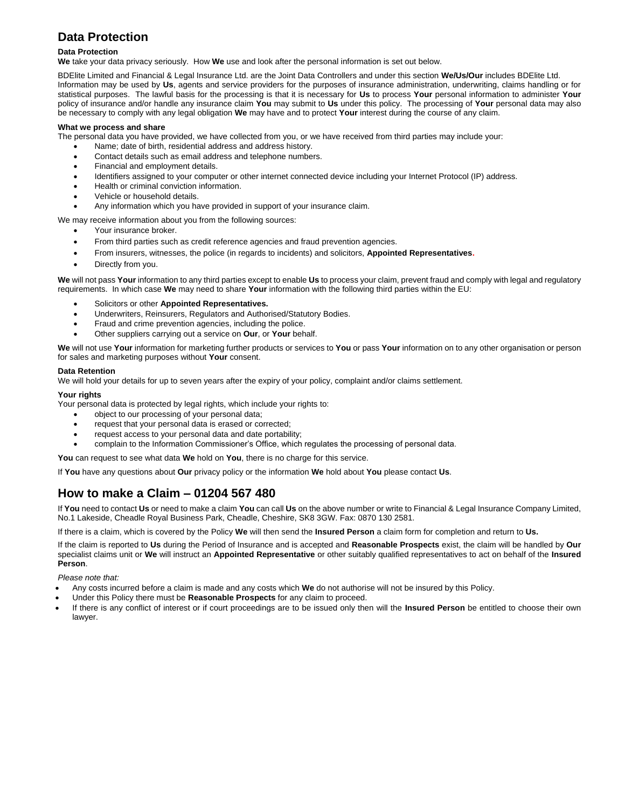# **Data Protection**

### **Data Protection**

**We** take your data privacy seriously. How **We** use and look after the personal information is set out below.

BDElite Limited and Financial & Legal Insurance Ltd. are the Joint Data Controllers and under this section **We/Us/Our** includes BDElite Ltd. Information may be used by **Us**, agents and service providers for the purposes of insurance administration, underwriting, claims handling or for statistical purposes. The lawful basis for the processing is that it is necessary for **Us** to process **Your** personal information to administer **Your** policy of insurance and/or handle any insurance claim **You** may submit to **Us** under this policy. The processing of **Your** personal data may also be necessary to comply with any legal obligation **We** may have and to protect **Your** interest during the course of any claim.

#### **What we process and share**

The personal data you have provided, we have collected from you, or we have received from third parties may include your:

- Name; date of birth, residential address and address history.
- Contact details such as email address and telephone numbers.
- Financial and employment details.
- Identifiers assigned to your computer or other internet connected device including your Internet Protocol (IP) address.
- Health or criminal conviction information.
- Vehicle or household details.
- Any information which you have provided in support of your insurance claim.

We may receive information about you from the following sources:

Your insurance broker.

- From third parties such as credit reference agencies and fraud prevention agencies.
- From insurers, witnesses, the police (in regards to incidents) and solicitors, **Appointed Representatives.**
- Directly from you.

**We** will not pass **Your** information to any third parties except to enable **Us** to process your claim, prevent fraud and comply with legal and regulatory requirements. In which case **We** may need to share **Your** information with the following third parties within the EU:

- Solicitors or other **Appointed Representatives.**
- Underwriters, Reinsurers, Regulators and Authorised/Statutory Bodies.
- Fraud and crime prevention agencies, including the police.
- Other suppliers carrying out a service on **Our**, or **Your** behalf.

**We** will not use **Your** information for marketing further products or services to **You** or pass **Your** information on to any other organisation or person for sales and marketing purposes without **Your** consent.

#### **Data Retention**

We will hold your details for up to seven years after the expiry of your policy, complaint and/or claims settlement.

**Your rights**

Your personal data is protected by legal rights, which include your rights to:

- object to our processing of your personal data;
- request that your personal data is erased or corrected;
- request access to your personal data and date portability;
- complain to the Information Commissioner's Office, which regulates the processing of personal data.

**You** can request to see what data **We** hold on **You**, there is no charge for this service.

If **You** have any questions about **Our** privacy policy or the information **We** hold about **You** please contact **Us**.

# **How to make a Claim – 01204 567 480**

If **You** need to contact **Us** or need to make a claim **You** can call **Us** on the above number or write to Financial & Legal Insurance Company Limited, No.1 Lakeside, Cheadle Royal Business Park, Cheadle, Cheshire, SK8 3GW. Fax: 0870 130 2581.

If there is a claim, which is covered by the Policy **We** will then send the **Insured Person** a claim form for completion and return to **Us.**

If the claim is reported to **Us** during the Period of Insurance and is accepted and **Reasonable Prospects** exist, the claim will be handled by **Our** specialist claims unit or **We** will instruct an **Appointed Representative** or other suitably qualified representatives to act on behalf of the **Insured Person**.

*Please note that:*

- Any costs incurred before a claim is made and any costs which **We** do not authorise will not be insured by this Policy.
- Under this Policy there must be **Reasonable Prospects** for any claim to proceed.
- If there is any conflict of interest or if court proceedings are to be issued only then will the **Insured Person** be entitled to choose their own lawyer.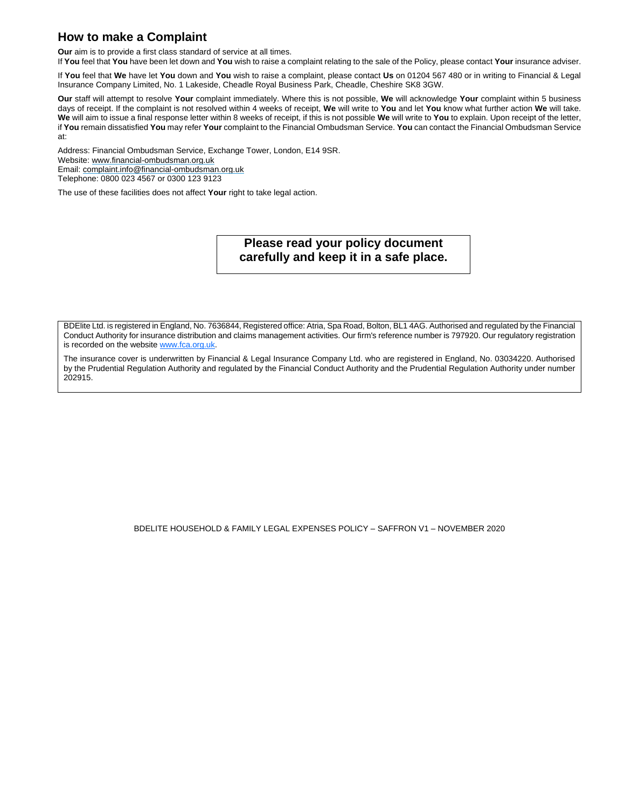# **How to make a Complaint**

**Our** aim is to provide a first class standard of service at all times.

If **You** feel that **You** have been let down and **You** wish to raise a complaint relating to the sale of the Policy, please contact **Your** insurance adviser.

If **You** feel that **We** have let **You** down and **You** wish to raise a complaint, please contact **Us** on 01204 567 480 or in writing to Financial & Legal Insurance Company Limited, No. 1 Lakeside, Cheadle Royal Business Park, Cheadle, Cheshire SK8 3GW.

**Our** staff will attempt to resolve **Your** complaint immediately. Where this is not possible, **We** will acknowledge **Your** complaint within 5 business days of receipt. If the complaint is not resolved within 4 weeks of receipt, **We** will write to **You** and let **You** know what further action **We** will take. **We** will aim to issue a final response letter within 8 weeks of receipt, if this is not possible **We** will write to **You** to explain. Upon receipt of the letter, if **You** remain dissatisfied **You** may refer **Your** complaint to the Financial Ombudsman Service. **You** can contact the Financial Ombudsman Service at:

Address: Financial Ombudsman Service, Exchange Tower, London, E14 9SR. Website: www.financial-ombudsman.org.uk Email: complaint.info@financial-ombudsman.org.uk Telephone: 0800 023 4567 or 0300 123 9123

The use of these facilities does not affect **Your** right to take legal action.

**Please read your policy document carefully and keep it in a safe place.**

BDElite Ltd. is registered in England, No. 7636844, Registered office: Atria, Spa Road, Bolton, BL1 4AG. Authorised and regulated by the Financial Conduct Authority for insurance distribution and claims management activities. Our firm's reference number is 797920. Our regulatory registration is recorded on the website www.fca.org.uk.

The insurance cover is underwritten by Financial & Legal Insurance Company Ltd. who are registered in England, No. 03034220. Authorised by the Prudential Regulation Authority and regulated by the Financial Conduct Authority and the Prudential Regulation Authority under number 202915.

BDELITE HOUSEHOLD & FAMILY LEGAL EXPENSES POLICY – SAFFRON V1 – NOVEMBER 2020